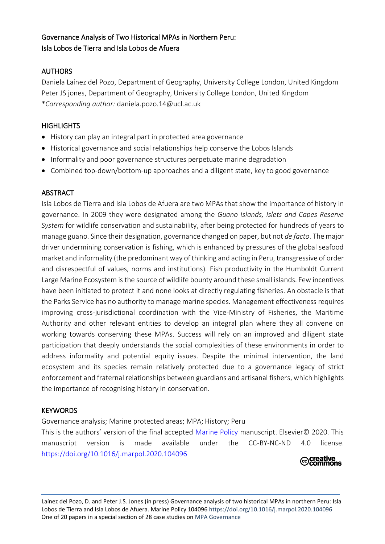# Governance Analysis of Two Historical MPAs in Northern Peru: Isla Lobos de Tierra and Isla Lobos de Afuera

## **AUTHORS**

Daniela Laínez del Pozo, Department of Geography, University College London, United Kingdom Peter JS jones, Department of Geography, University College London, United Kingdom \**Corresponding author:* daniela.pozo.14@ucl.ac.uk

## **HIGHLIGHTS**

- History can play an integral part in protected area governance
- Historical governance and social relationships help conserve the Lobos Islands
- Informality and poor governance structures perpetuate marine degradation
- Combined top-down/bottom-up approaches and a diligent state, key to good governance

# **ABSTRACT**

Isla Lobos de Tierra and Isla Lobos de Afuera are two MPAs that show the importance of history in governance. In 2009 they were designated among the *Guano Islands, Islets and Capes Reserve System* for wildlife conservation and sustainability, after being protected for hundreds of years to manage guano. Since their designation, governance changed on paper, but not *de facto*. The major driver undermining conservation is fishing, which is enhanced by pressures of the global seafood market and informality (the predominant way of thinking and acting in Peru, transgressive of order and disrespectful of values, norms and institutions). Fish productivity in the Humboldt Current Large Marine Ecosystem is the source of wildlife bounty around these small islands. Few incentives have been initiated to protect it and none looks at directly regulating fisheries. An obstacle is that the Parks Service has no authority to manage marine species. Management effectiveness requires improving cross-jurisdictional coordination with the Vice-Ministry of Fisheries, the Maritime Authority and other relevant entities to develop an integral plan where they all convene on working towards conserving these MPAs. Success will rely on an improved and diligent state participation that deeply understands the social complexities of these environments in order to address informality and potential equity issues. Despite the minimal intervention, the land ecosystem and its species remain relatively protected due to a governance legacy of strict enforcement and fraternal relationships between guardians and artisanal fishers, which highlights the importance of recognising history in conservation.

## **KEYWORDS**

Governance analysis; Marine protected areas; MPA; History; Peru

This is the authors' version of the final accepted [Marine Policy](https://www.journals.elsevier.com/marine-policy/) manuscript. Elsevier© 2020. This manuscript version is made available under the CC-BY-NC-ND 4.0 license. <https://doi.org/10.1016/j.marpol.2020.104096>

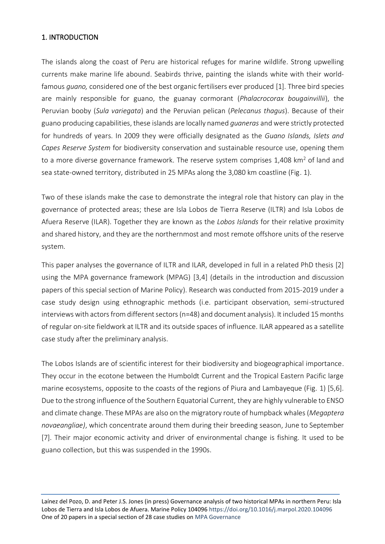#### 1. INTRODUCTION

The islands along the coast of Peru are historical refuges for marine wildlife. Strong upwelling currents make marine life abound. Seabirds thrive, painting the islands white with their worldfamous *guano,* considered one of the best organic fertilisers ever produced [1]. Three bird species are mainly responsible for guano, the guanay cormorant (*Phalacrocorax bougainvillii*), the Peruvian booby (*Sula variegata*) and the Peruvian pelican (*Pelecanus thagus*). Because of their guano producing capabilities, these islands are locally named *guaneras* and were strictly protected for hundreds of years. In 2009 they were officially designated as the *Guano Islands, Islets and Capes Reserve System* for biodiversity conservation and sustainable resource use, opening them to a more diverse governance framework. The reserve system comprises 1,408 km<sup>2</sup> of land and sea state-owned territory, distributed in 25 MPAs along the 3,080 km coastline (Fig. 1).

Two of these islands make the case to demonstrate the integral role that history can play in the governance of protected areas; these are Isla Lobos de Tierra Reserve (ILTR) and Isla Lobos de Afuera Reserve (ILAR). Together they are known as the *Lobos Islands* for their relative proximity and shared history, and they are the northernmost and most remote offshore units of the reserve system.

This paper analyses the governance of ILTR and ILAR, developed in full in a related PhD thesis [2] using the MPA governance framework (MPAG) [3,4] (details in the introduction and discussion papers of this special section of Marine Policy). Research was conducted from 2015-2019 under a case study design using ethnographic methods (i.e. participant observation, semi-structured interviews with actors from different sectors (n=48) and document analysis). It included 15 months of regular on-site fieldwork at ILTR and its outside spaces of influence. ILAR appeared as a satellite case study after the preliminary analysis.

The Lobos Islands are of scientific interest for their biodiversity and biogeographical importance. They occur in the ecotone between the Humboldt Current and the Tropical Eastern Pacific large marine ecosystems, opposite to the coasts of the regions of Piura and Lambayeque (Fig. 1) [5,6]. Due to the strong influence of the Southern Equatorial Current, they are highly vulnerable to ENSO and climate change. These MPAs are also on the migratory route of humpback whales (*Megaptera novaeangliae)*, which concentrate around them during their breeding season, June to September [7]. Their major economic activity and driver of environmental change is fishing. It used to be guano collection, but this was suspended in the 1990s.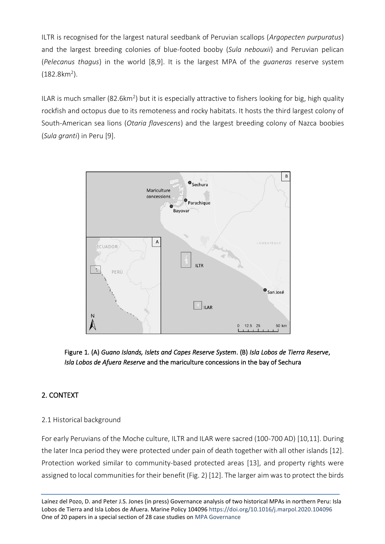ILTR is recognised for the largest natural seedbank of Peruvian scallops (*Argopecten purpuratus*) and the largest breeding colonies of blue-footed booby (*Sula nebouxii*) and Peruvian pelican (*Pelecanus thagus*) in the world [8,9]. It is the largest MPA of the *guaneras* reserve system  $(182.8 \text{km}^2).$ 

ILAR is much smaller (82.6km<sup>2</sup>) but it is especially attractive to fishers looking for big, high quality rockfish and octopus due to its remoteness and rocky habitats. It hosts the third largest colony of South-American sea lions (*Otaria flavescens*) and the largest breeding colony of Nazca boobies (*Sula granti*) in Peru [9].



Figure 1. (A) *Guano Islands, Islets and Capes Reserve System*. (B) *Isla Lobos de Tierra Reserve*, *Isla Lobos de Afuera Reserve* and the mariculture concessions in the bay of Sechura

# 2. CONTEXT

## 2.1 Historical background

For early Peruvians of the Moche culture, ILTR and ILAR were sacred (100-700 AD) [10,11]. During the later Inca period they were protected under pain of death together with all other islands [12]. Protection worked similar to community-based protected areas [13], and property rights were assigned to local communities for their benefit (Fig. 2) [12]. The larger aim was to protect the birds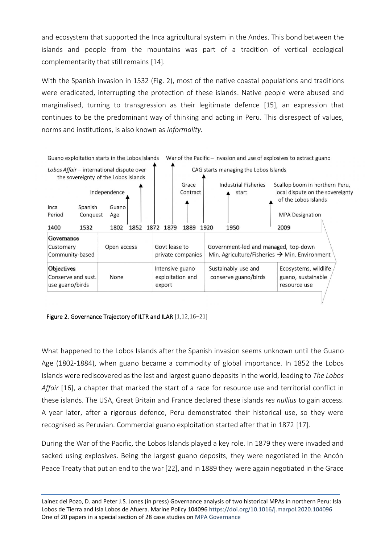and ecosystem that supported the Inca agricultural system in the Andes. This bond between the islands and people from the mountains was part of a tradition of vertical ecological complementarity that still remains [14].

With the Spanish invasion in 1532 (Fig. 2), most of the native coastal populations and traditions were eradicated, interrupting the protection of these islands. Native people were abused and marginalised, turning to transgression as their legitimate defence [15], an expression that continues to be the predominant way of thinking and acting in Peru. This disrespect of values, norms and institutions, is also known as *informality.*



Figure 2. Governance Trajectory of ILTR and ILAR [1,12,16–21]

What happened to the Lobos Islands after the Spanish invasion seems unknown until the Guano Age (1802-1884), when guano became a commodity of global importance. In 1852 the Lobos Islands were rediscovered as the last and largest guano deposits in the world, leading to *The Lobos Affair* [16], a chapter that marked the start of a race for resource use and territorial conflict in these islands. The USA, Great Britain and France declared these islands *res nullius* to gain access. A year later, after a rigorous defence, Peru demonstrated their historical use, so they were recognised as Peruvian. Commercial guano exploitation started after that in 1872 [17].

During the War of the Pacific, the Lobos Islands played a key role. In 1879 they were invaded and sacked using explosives. Being the largest guano deposits, they were negotiated in the Ancón Peace Treaty that put an end to the war [22], and in 1889 they were again negotiated in the Grace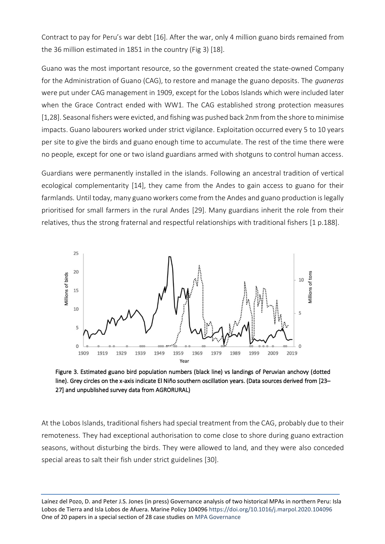Contract to pay for Peru's war debt [16]. After the war, only 4 million guano birds remained from the 36 million estimated in 1851 in the country (Fig 3) [18].

Guano was the most important resource, so the government created the state-owned Company for the Administration of Guano (CAG), to restore and manage the guano deposits. The *guaneras* were put under CAG management in 1909, except for the Lobos Islands which were included later when the Grace Contract ended with WW1. The CAG established strong protection measures [1,28]. Seasonal fisherswere evicted, and fishing was pushed back 2nm from the shore to minimise impacts. Guano labourers worked under strict vigilance. Exploitation occurred every 5 to 10 years per site to give the birds and guano enough time to accumulate. The rest of the time there were no people*,* except for one or two island guardians armed with shotguns to control human access.

Guardians were permanently installed in the islands. Following an ancestral tradition of vertical ecological complementarity [14], they came from the Andes to gain access to guano for their farmlands*.* Until today, many guano workers come from the Andes and guano production is legally prioritised for small farmers in the rural Andes [29]. Many guardians inherit the role from their relatives, thus the strong fraternal and respectful relationships with traditional fishers [1 p.188].



Figure 3. Estimated guano bird population numbers (black line) vs landings of Peruvian anchovy (dotted line). Grey circles on the x-axis indicate El Niño southern oscillation years. (Data sources derived from [23– 27] and unpublished survey data from AGRORURAL)

At the Lobos Islands, traditional fishers had special treatment from the CAG, probably due to their remoteness. They had exceptional authorisation to come close to shore during guano extraction seasons, without disturbing the birds. They were allowed to land, and they were also conceded special areas to salt their fish under strict guidelines [30].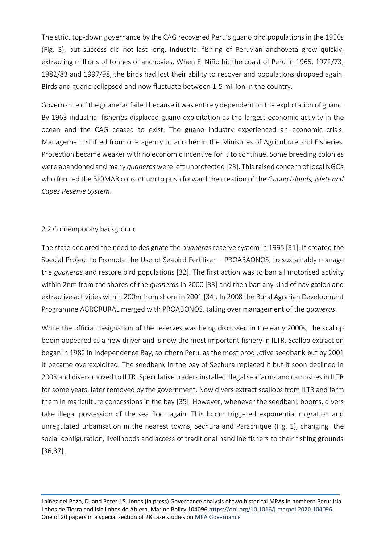The strict top-down governance by the CAG recovered Peru's guano bird populations in the 1950s (Fig. 3), but success did not last long. Industrial fishing of Peruvian anchoveta grew quickly, extracting millions of tonnes of anchovies. When El Niño hit the coast of Peru in 1965, 1972/73, 1982/83 and 1997/98, the birds had lost their ability to recover and populations dropped again. Birds and guano collapsed and now fluctuate between 1-5 million in the country.

Governance of the guaneras failed because it was entirely dependent on the exploitation of guano. By 1963 industrial fisheries displaced guano exploitation as the largest economic activity in the ocean and the CAG ceased to exist. The guano industry experienced an economic crisis. Management shifted from one agency to another in the Ministries of Agriculture and Fisheries. Protection became weaker with no economic incentive for it to continue. Some breeding colonies were abandoned and many *guaneras* were left unprotected [23]. This raised concern of local NGOs who formed the BIOMAR consortium to push forward the creation of the *Guano Islands, Islets and Capes Reserve System*.

#### 2.2 Contemporary background

The state declared the need to designate the *guaneras* reserve system in 1995 [31]. It created the Special Project to Promote the Use of Seabird Fertilizer – PROABAONOS, to sustainably manage the *guaneras* and restore bird populations [32]. The first action was to ban all motorised activity within 2nm from the shores of the *guaneras* in 2000 [33] and then ban any kind of navigation and extractive activities within 200m from shore in 2001 [34]. In 2008 the Rural Agrarian Development Programme AGRORURAL merged with PROABONOS, taking over management of the *guaneras*.

While the official designation of the reserves was being discussed in the early 2000s, the scallop boom appeared as a new driver and is now the most important fishery in ILTR. Scallop extraction began in 1982 in Independence Bay, southern Peru, as the most productive seedbank but by 2001 it became overexploited. The seedbank in the bay of Sechura replaced it but it soon declined in 2003 and divers moved to ILTR. Speculative traders installed illegal sea farms and campsites in ILTR for some years, later removed by the government. Now divers extract scallops from ILTR and farm them in mariculture concessions in the bay [35]. However, whenever the seedbank booms, divers take illegal possession of the sea floor again. This boom triggered exponential migration and unregulated urbanisation in the nearest towns, Sechura and Parachique (Fig. 1), changing the social configuration, livelihoods and access of traditional handline fishers to their fishing grounds [36,37].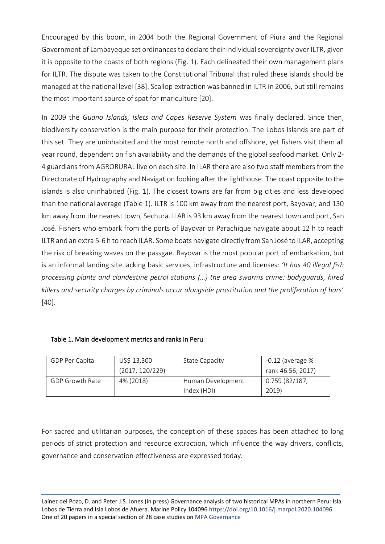Encouraged by this boom, in 2004 both the Regional Government of Piura and the Regional Government of Lambayeque set ordinances to declare their individual sovereignty over ILTR, given it is opposite to the coasts of both regions (Fig. 1). Each delineated their own management plans for ILTR. The dispute was taken to the Constitutional Tribunal that ruled these islands should be managed at the national level [38]. Scallop extraction was banned in ILTR in 2006, but still remains the most important source of spat for mariculture [20].

In 2009 the *Guano Islands, Islets and Capes Reserve System* was finally declared. Since then, biodiversity conservation is the main purpose for their protection. The Lobos Islands are part of this set. They are uninhabited and the most remote north and offshore, yet fishers visit them all year round, dependent on fish availability and the demands of the global seafood market. Only 2- 4 guardians from AGRORURAL live on each site. In ILAR there are also two staff members from the Directorate of Hydrography and Navigation looking after the lighthouse. The coast opposite to the islands is also uninhabited (Fig. 1). The closest towns are far from big cities and less developed than the national average (Table 1). ILTR is 100 km away from the nearest port, Bayovar, and 130 km away from the nearest town, Sechura. ILAR is 93 km away from the nearest town and port, San José. Fishers who embark from the ports of Bayovar or Parachique navigate about 12 h to reach ILTR and an extra 5-6 h to reach ILAR. Some boats navigate directly from San José to ILAR, accepting the risk of breaking waves on the passgae. Bayovar is the most popular port of embarkation, but is an informal landing site lacking basic services, infrastructure and licenses: *'It has 40 illegal fish processing plants and clandestine petrol stations (…) the area swarms crime: bodyguards, hired killers and security charges by criminals occur alongside prostitution and the proliferation of bars*' [40].

| Table 1. Main development metrics and ranks in Peru |  |  |  |
|-----------------------------------------------------|--|--|--|
|-----------------------------------------------------|--|--|--|

| GDP Per Capita         | US\$ 13,300     | <b>State Capacity</b> | $-0.12$ (average % |
|------------------------|-----------------|-----------------------|--------------------|
|                        | (2017, 120/229) |                       | rank 46.56, 2017)  |
| <b>GDP Growth Rate</b> | 4% (2018)       | Human Development     | 0.759 (82/187,     |
|                        |                 | Index (HDI)           | 2019)              |

For sacred and utilitarian purposes, the conception of these spaces has been attached to long periods of strict protection and resource extraction, which influence the way drivers, conflicts, governance and conservation effectiveness are expressed today.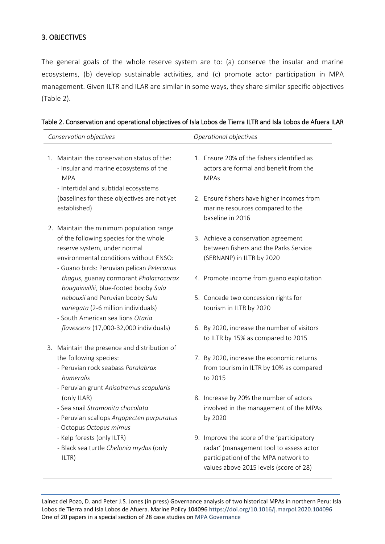### 3. OBJECTIVES

The general goals of the whole reserve system are to: (a) conserve the insular and marine ecosystems, (b) develop sustainable activities, and (c) promote actor participation in MPA management. Given ILTR and ILAR are similar in some ways, they share similar specific objectives (Table 2).

| Conservation objectives                                                                                                                                                                                   | Operational objectives                                                                                                                                                  |
|-----------------------------------------------------------------------------------------------------------------------------------------------------------------------------------------------------------|-------------------------------------------------------------------------------------------------------------------------------------------------------------------------|
| 1. Maintain the conservation status of the:<br>- Insular and marine ecosystems of the<br><b>MPA</b><br>- Intertidal and subtidal ecosystems                                                               | 1. Ensure 20% of the fishers identified as<br>actors are formal and benefit from the<br><b>MPAs</b>                                                                     |
| (baselines for these objectives are not yet<br>established)                                                                                                                                               | 2. Ensure fishers have higher incomes from<br>marine resources compared to the<br>baseline in 2016                                                                      |
| 2. Maintain the minimum population range<br>of the following species for the whole<br>reserve system, under normal<br>environmental conditions without ENSO:<br>- Guano birds: Peruvian pelican Pelecanus | 3. Achieve a conservation agreement<br>between fishers and the Parks Service<br>(SERNANP) in ILTR by 2020                                                               |
| thagus, guanay cormorant Phalacrocorax<br>bougainvillii, blue-footed booby Sula                                                                                                                           | 4. Promote income from guano exploitation                                                                                                                               |
| nebouxii and Peruvian booby Sula<br>variegata (2-6 million individuals)<br>- South American sea lions Otaria                                                                                              | 5. Concede two concession rights for<br>tourism in ILTR by 2020                                                                                                         |
| flavescens (17,000-32,000 individuals)                                                                                                                                                                    | 6. By 2020, increase the number of visitors<br>to ILTR by 15% as compared to 2015                                                                                       |
| Maintain the presence and distribution of<br>3.                                                                                                                                                           |                                                                                                                                                                         |
| the following species:<br>- Peruvian rock seabass Paralabrax<br>humeralis<br>- Peruvian grunt Anisotremus scapularis                                                                                      | 7. By 2020, increase the economic returns<br>from tourism in ILTR by 10% as compared<br>to 2015                                                                         |
| (only ILAR)<br>- Sea snail Stramonita chocolata<br>- Peruvian scallops Argopecten purpuratus<br>- Octopus Octopus mimus                                                                                   | 8. Increase by 20% the number of actors<br>involved in the management of the MPAs<br>by 2020                                                                            |
| - Kelp forests (only ILTR)<br>- Black sea turtle Chelonia mydas (only<br>ILTR)                                                                                                                            | 9. Improve the score of the 'participatory<br>radar' (management tool to assess actor<br>participation) of the MPA network to<br>values above 2015 levels (score of 28) |

#### Table 2. Conservation and operational objectives of Isla Lobos de Tierra ILTR and Isla Lobos de Afuera ILAR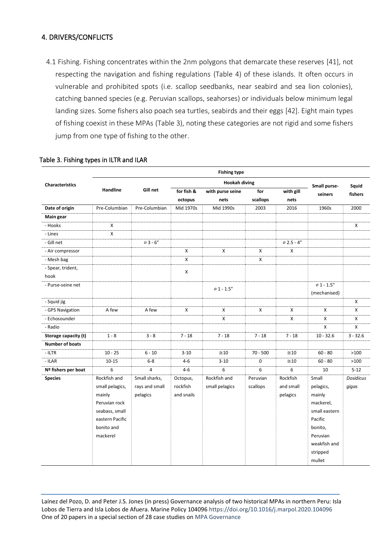### 4. DRIVERS/CONFLICTS

4.1 Fishing. Fishing concentrates within the 2nm polygons that demarcate these reserves [41], not respecting the navigation and fishing regulations (Table 4) of these islands. It often occurs in vulnerable and prohibited spots (i.e. scallop seedbanks, near seabird and sea lion colonies), catching banned species (e.g. Peruvian scallops, seahorses) or individuals below minimum legal landing sizes. Some fishers also poach sea turtles, seabirds and their eggs [42]. Eight main types of fishing coexist in these MPAs (Table 3), noting these categories are not rigid and some fishers jump from one type of fishing to the other.

|                        |                                      |                      |            | <b>Fishing type</b>    |             |                        |                        |                  |
|------------------------|--------------------------------------|----------------------|------------|------------------------|-------------|------------------------|------------------------|------------------|
| <b>Characteristics</b> | <b>Hookah diving</b><br>Small purse- |                      |            |                        |             | Squid                  |                        |                  |
|                        | <b>Handline</b>                      | Gill net             | for fish & | with purse seine       | for         | with gill              | seiners                | fishers          |
|                        |                                      |                      | octopus    | nets                   | scallops    | nets                   |                        |                  |
| Date of origin         | Pre-Columbian                        | Pre-Columbian        | Mid 1970s  | Mid 1990s              | 2003        | 2016                   | 1960s                  | 2000             |
| Main gear              |                                      |                      |            |                        |             |                        |                        |                  |
| - Hooks                | Χ                                    |                      |            |                        |             |                        |                        | X                |
| - Lines                | X                                    |                      |            |                        |             |                        |                        |                  |
| - Gill net             |                                      | $\varnothing$ 3 - 6" |            |                        |             | $\varnothing$ 2.5 - 4" |                        |                  |
| - Air compressor       |                                      |                      | X          | X                      | X           | X                      |                        |                  |
| - Mesh bag             |                                      |                      | X          |                        | Χ           |                        |                        |                  |
| - Spear, trident,      |                                      |                      |            |                        |             |                        |                        |                  |
| hook                   |                                      |                      | Χ          |                        |             |                        |                        |                  |
| - Purse-seine net      |                                      |                      |            | $\varnothing$ 1 - 1.5" |             |                        | $\varnothing$ 1 - 1.5" |                  |
|                        |                                      |                      |            |                        |             |                        | (mechanised)           |                  |
| - Squid jig            |                                      |                      |            |                        |             |                        |                        | X                |
| - GPS Navigation       | A few                                | A few                | Χ          | Χ                      | Χ           | Χ                      | X                      | Χ                |
| - Echosounder          |                                      |                      |            | Χ                      |             | X                      | X                      | Χ                |
| - Radio                |                                      |                      |            |                        |             |                        | X                      | X                |
| Storage capacity (t)   | $1 - 8$                              | $3 - 8$              | $7 - 18$   | $7 - 18$               | $7 - 18$    | $7 - 18$               | $10 - 32.6$            | $3 - 32.6$       |
| <b>Number of boats</b> |                                      |                      |            |                        |             |                        |                        |                  |
| $-$ ILTR               | $10 - 25$                            | $6 - 10$             | $3 - 10$   | $\approx$ 10           | $70 - 500$  | $\approx$ 10           | $60 - 80$              | >100             |
| - ILAR                 | $10 - 15$                            | $6 - 8$              | $4 - 6$    | $3 - 10$               | $\mathbf 0$ | $\approx$ 10           | $60 - 80$              | >100             |
| Nº fishers per boat    | 6                                    | $\overline{4}$       | $4 - 6$    | 6                      | 6           | 6                      | 10                     | $5 - 12$         |
| <b>Species</b>         | Rockfish and                         | Small sharks,        | Octopus,   | Rockfish and           | Peruvian    | Rockfish               | Small                  | <b>Dosidicus</b> |
|                        | small pelagics,                      | rays and small       | rockfish   | small pelagics         | scallops    | and small              | pelagics,              | gigas            |
|                        | mainly                               | pelagics             | and snails |                        |             | pelagics               | mainly                 |                  |
|                        | Peruvian rock                        |                      |            |                        |             |                        | mackerel,              |                  |
|                        | seabass, small                       |                      |            |                        |             |                        | small eastern          |                  |
|                        | eastern Pacific                      |                      |            |                        |             |                        | Pacific                |                  |
|                        | bonito and                           |                      |            |                        |             |                        | bonito,                |                  |
|                        | mackerel                             |                      |            |                        |             |                        | Peruvian               |                  |
|                        |                                      |                      |            |                        |             |                        | weakfish and           |                  |
|                        |                                      |                      |            |                        |             |                        | stripped               |                  |
|                        |                                      |                      |            |                        |             |                        | mullet                 |                  |

#### Table 3. Fishing types in ILTR and ILAR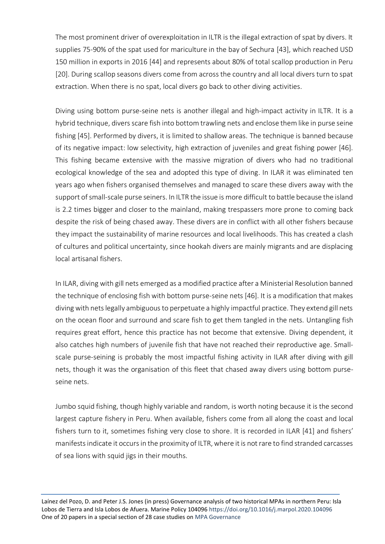The most prominent driver of overexploitation in ILTR is the illegal extraction of spat by divers. It supplies 75-90% of the spat used for mariculture in the bay of Sechura [43], which reached USD 150 million in exports in 2016 [44] and represents about 80% of total scallop production in Peru [20]. During scallop seasons divers come from across the country and all local divers turn to spat extraction. When there is no spat, local divers go back to other diving activities.

Diving using bottom purse-seine nets is another illegal and high-impact activity in ILTR. It is a hybrid technique, divers scare fish into bottom trawling nets and enclose them like in purse seine fishing [45]. Performed by divers, it is limited to shallow areas. The technique is banned because of its negative impact: low selectivity, high extraction of juveniles and great fishing power [46]. This fishing became extensive with the massive migration of divers who had no traditional ecological knowledge of the sea and adopted this type of diving. In ILAR it was eliminated ten years ago when fishers organised themselves and managed to scare these divers away with the support of small-scale purse seiners. In ILTR the issue is more difficult to battle because the island is 2.2 times bigger and closer to the mainland, making trespassers more prone to coming back despite the risk of being chased away. These divers are in conflict with all other fishers because they impact the sustainability of marine resources and local livelihoods. This has created a clash of cultures and political uncertainty, since hookah divers are mainly migrants and are displacing local artisanal fishers.

In ILAR, diving with gill nets emerged as a modified practice after a Ministerial Resolution banned the technique of enclosing fish with bottom purse-seine nets [46]. It is a modification that makes diving with nets legally ambiguous to perpetuate a highly impactful practice. They extend gill nets on the ocean floor and surround and scare fish to get them tangled in the nets. Untangling fish requires great effort, hence this practice has not become that extensive. Diving dependent, it also catches high numbers of juvenile fish that have not reached their reproductive age. Smallscale purse-seining is probably the most impactful fishing activity in ILAR after diving with gill nets, though it was the organisation of this fleet that chased away divers using bottom purseseine nets.

Jumbo squid fishing, though highly variable and random, is worth noting because it is the second largest capture fishery in Peru. When available, fishers come from all along the coast and local fishers turn to it, sometimes fishing very close to shore. It is recorded in ILAR [41] and fishers' manifests indicate it occurs in the proximity of ILTR, where it is not rare to find stranded carcasses of sea lions with squid jigs in their mouths.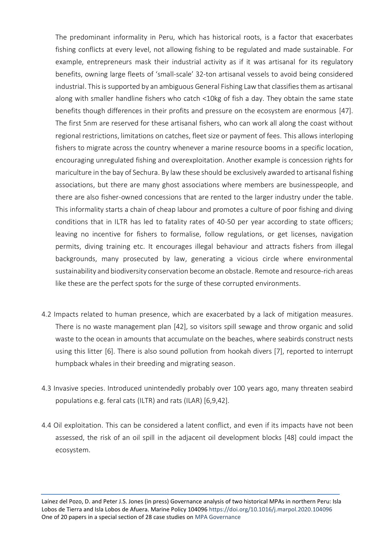The predominant informality in Peru, which has historical roots, is a factor that exacerbates fishing conflicts at every level, not allowing fishing to be regulated and made sustainable. For example, entrepreneurs mask their industrial activity as if it was artisanal for its regulatory benefits, owning large fleets of 'small-scale' 32-ton artisanal vessels to avoid being considered industrial. This is supported by an ambiguous General Fishing Law that classifies them as artisanal along with smaller handline fishers who catch <10kg of fish a day. They obtain the same state benefits though differences in their profits and pressure on the ecosystem are enormous [47]. The first 5nm are reserved for these artisanal fishers, who can work all along the coast without regional restrictions, limitations on catches, fleet size or payment of fees. This allows interloping fishers to migrate across the country whenever a marine resource booms in a specific location, encouraging unregulated fishing and overexploitation. Another example is concession rights for mariculture in the bay of Sechura. By law these should be exclusively awarded to artisanal fishing associations, but there are many ghost associations where members are businesspeople, and there are also fisher-owned concessions that are rented to the larger industry under the table. This informality starts a chain of cheap labour and promotes a culture of poor fishing and diving conditions that in ILTR has led to fatality rates of 40-50 per year according to state officers; leaving no incentive for fishers to formalise, follow regulations, or get licenses, navigation permits, diving training etc. It encourages illegal behaviour and attracts fishers from illegal backgrounds, many prosecuted by law, generating a vicious circle where environmental sustainability and biodiversity conservation become an obstacle. Remote and resource-rich areas like these are the perfect spots for the surge of these corrupted environments.

- 4.2 Impacts related to human presence, which are exacerbated by a lack of mitigation measures. There is no waste management plan [42], so visitors spill sewage and throw organic and solid waste to the ocean in amounts that accumulate on the beaches, where seabirds construct nests using this litter [6]. There is also sound pollution from hookah divers [7], reported to interrupt humpback whales in their breeding and migrating season.
- 4.3 Invasive species. Introduced unintendedly probably over 100 years ago, many threaten seabird populations e.g. feral cats (ILTR) and rats (ILAR) [6,9,42].
- 4.4 Oil exploitation. This can be considered a latent conflict, and even if its impacts have not been assessed, the risk of an oil spill in the adjacent oil development blocks [48] could impact the ecosystem.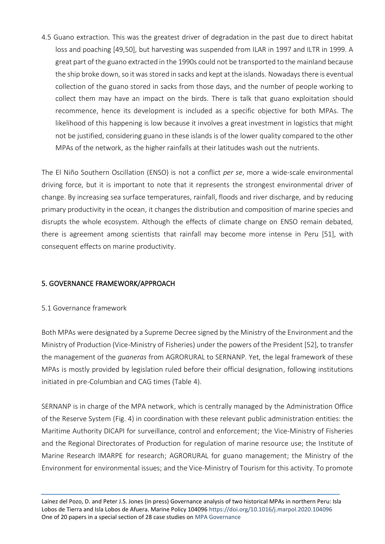4.5 Guano extraction. This was the greatest driver of degradation in the past due to direct habitat loss and poaching [49,50], but harvesting was suspended from ILAR in 1997 and ILTR in 1999. A great part of the guano extracted in the 1990s could not be transported to the mainland because the ship broke down, so it was stored in sacks and kept at the islands. Nowadays there is eventual collection of the guano stored in sacks from those days, and the number of people working to collect them may have an impact on the birds. There is talk that guano exploitation should recommence, hence its development is included as a specific objective for both MPAs. The likelihood of this happening is low because it involves a great investment in logistics that might not be justified, considering guano in these islands is of the lower quality compared to the other MPAs of the network, as the higher rainfalls at their latitudes wash out the nutrients.

The El Niño Southern Oscillation (ENSO) is not a conflict *per se*, more a wide-scale environmental driving force, but it is important to note that it represents the strongest environmental driver of change. By increasing sea surface temperatures, rainfall, floods and river discharge, and by reducing primary productivity in the ocean, it changes the distribution and composition of marine species and disrupts the whole ecosystem. Although the effects of climate change on ENSO remain debated, there is agreement among scientists that rainfall may become more intense in Peru [51], with consequent effects on marine productivity.

## 5. GOVERNANCE FRAMEWORK/APPROACH

#### 5.1 Governance framework

Both MPAs were designated by a Supreme Decree signed by the Ministry of the Environment and the Ministry of Production (Vice-Ministry of Fisheries) under the powers of the President [52], to transfer the management of the *guaneras* from AGRORURAL to SERNANP. Yet, the legal framework of these MPAs is mostly provided by legislation ruled before their official designation, following institutions initiated in pre-Columbian and CAG times (Table 4).

SERNANP is in charge of the MPA network, which is centrally managed by the Administration Office of the Reserve System (Fig. 4) in coordination with these relevant public administration entities: the Maritime Authority DICAPI for surveillance, control and enforcement; the Vice-Ministry of Fisheries and the Regional Directorates of Production for regulation of marine resource use; the Institute of Marine Research IMARPE for research; AGRORURAL for guano management; the Ministry of the Environment for environmental issues; and the Vice-Ministry of Tourism for this activity. To promote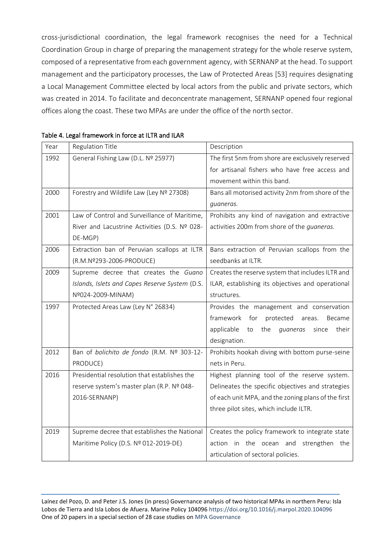cross-jurisdictional coordination, the legal framework recognises the need for a Technical Coordination Group in charge of preparing the management strategy for the whole reserve system, composed of a representative from each government agency, with SERNANP at the head. To support management and the participatory processes, the Law of Protected Areas [53] requires designating a Local Management Committee elected by local actors from the public and private sectors, which was created in 2014. To facilitate and deconcentrate management, SERNANP opened four regional offices along the coast. These two MPAs are under the office of the north sector.

| Year | <b>Regulation Title</b>                        | Description                                           |
|------|------------------------------------------------|-------------------------------------------------------|
| 1992 | General Fishing Law (D.L. Nº 25977)            | The first 5nm from shore are exclusively reserved     |
|      |                                                | for artisanal fishers who have free access and        |
|      |                                                | movement within this band.                            |
| 2000 | Forestry and Wildlife Law (Ley Nº 27308)       | Bans all motorised activity 2nm from shore of the     |
|      |                                                | guaneras.                                             |
| 2001 | Law of Control and Surveillance of Maritime,   | Prohibits any kind of navigation and extractive       |
|      | River and Lacustrine Activities (D.S. Nº 028-  | activities 200m from shore of the guaneras.           |
|      | DE-MGP)                                        |                                                       |
| 2006 | Extraction ban of Peruvian scallops at ILTR    | Bans extraction of Peruvian scallops from the         |
|      | (R.M.Nº293-2006-PRODUCE)                       | seedbanks at ILTR.                                    |
| 2009 | Supreme decree that creates the Guano          | Creates the reserve system that includes ILTR and     |
|      | Islands, Islets and Capes Reserve System (D.S. | ILAR, establishing its objectives and operational     |
|      | Nº024-2009-MINAM)                              | structures.                                           |
| 1997 | Protected Areas Law (Ley N° 26834)             | Provides the management and conservation              |
|      |                                                | framework<br>for<br>protected<br>areas.<br>Became     |
|      |                                                | applicable<br>the<br>their<br>to<br>guaneras<br>since |
|      |                                                | designation.                                          |
| 2012 | Ban of bolichito de fondo (R.M. Nº 303-12-     | Prohibits hookah diving with bottom purse-seine       |
|      | PRODUCE)                                       | nets in Peru.                                         |
| 2016 | Presidential resolution that establishes the   | Highest planning tool of the reserve system.          |
|      | reserve system's master plan (R.P. Nº 048-     | Delineates the specific objectives and strategies     |
|      | 2016-SERNANP)                                  | of each unit MPA, and the zoning plans of the first   |
|      |                                                | three pilot sites, which include ILTR.                |
|      |                                                |                                                       |
| 2019 | Supreme decree that establishes the National   | Creates the policy framework to integrate state       |
|      | Maritime Policy (D.S. Nº 012-2019-DE)          | action in the ocean and strengthen the                |
|      |                                                | articulation of sectoral policies.                    |

|  |  | Table 4. Legal framework in force at ILTR and ILAR |  |
|--|--|----------------------------------------------------|--|
|--|--|----------------------------------------------------|--|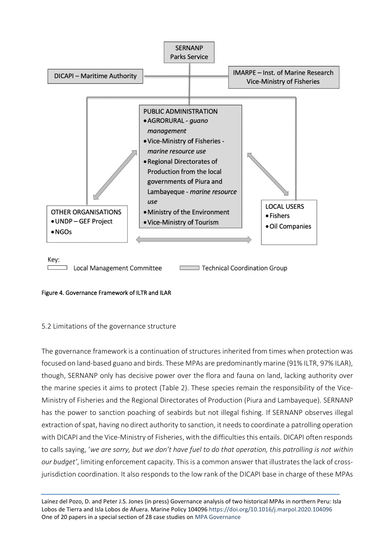



#### 5.2 Limitations of the governance structure

The governance framework is a continuation of structures inherited from times when protection was focused on land-based guano and birds. These MPAs are predominantly marine (91% ILTR, 97% ILAR), though, SERNANP only has decisive power over the flora and fauna on land, lacking authority over the marine species it aims to protect (Table 2). These species remain the responsibility of the Vice-Ministry of Fisheries and the Regional Directorates of Production (Piura and Lambayeque). SERNANP has the power to sanction poaching of seabirds but not illegal fishing. If SERNANP observes illegal extraction of spat, having no direct authority to sanction, it needs to coordinate a patrolling operation with DICAPI and the Vice-Ministry of Fisheries, with the difficulties this entails. DICAPI often responds to calls saying, '*we are sorry, but we don't have fuel to do that operation, this patrolling is not within our budget'*, limiting enforcement capacity. This is a common answer that illustrates the lack of crossjurisdiction coordination. It also responds to the low rank of the DICAPI base in charge of these MPAs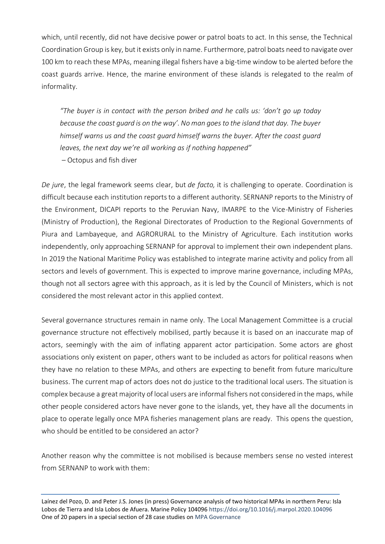which, until recently, did not have decisive power or patrol boats to act. In this sense, the Technical Coordination Group is key, but it exists only in name. Furthermore, patrol boats need to navigate over 100 km to reach these MPAs, meaning illegal fishers have a big-time window to be alerted before the coast guards arrive. Hence, the marine environment of these islands is relegated to the realm of informality.

*"The buyer is in contact with the person bribed and he calls us: 'don't go up today because the coast guard is on the way'. No man goes to the island that day. The buyer himself warns us and the coast guard himself warns the buyer. After the coast guard leaves, the next day we're all working as if nothing happened" –* Octopus and fish diver

*De jure*, the legal framework seems clear, but *de facto,* it is challenging to operate. Coordination is difficult because each institution reports to a different authority. SERNANP reports to the Ministry of the Environment, DICAPI reports to the Peruvian Navy, IMARPE to the Vice-Ministry of Fisheries (Ministry of Production), the Regional Directorates of Production to the Regional Governments of Piura and Lambayeque, and AGRORURAL to the Ministry of Agriculture. Each institution works independently, only approaching SERNANP for approval to implement their own independent plans. In 2019 the National Maritime Policy was established to integrate marine activity and policy from all sectors and levels of government. This is expected to improve marine governance, including MPAs, though not all sectors agree with this approach, as it is led by the Council of Ministers, which is not considered the most relevant actor in this applied context.

Several governance structures remain in name only. The Local Management Committee is a crucial governance structure not effectively mobilised, partly because it is based on an inaccurate map of actors, seemingly with the aim of inflating apparent actor participation. Some actors are ghost associations only existent on paper, others want to be included as actors for political reasons when they have no relation to these MPAs, and others are expecting to benefit from future mariculture business. The current map of actors does not do justice to the traditional local users. The situation is complex because a great majority of local users are informal fishers not considered in the maps, while other people considered actors have never gone to the islands, yet, they have all the documents in place to operate legally once MPA fisheries management plans are ready. This opens the question, who should be entitled to be considered an actor?

Another reason why the committee is not mobilised is because members sense no vested interest from SERNANP to work with them: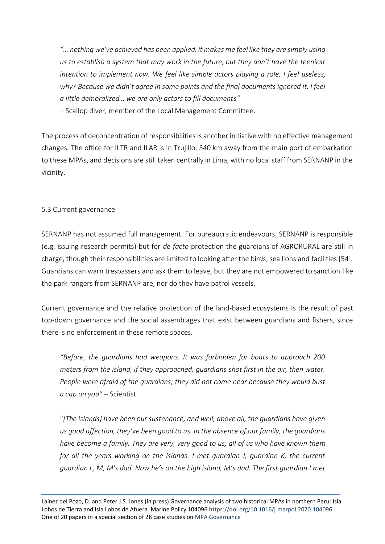*"… nothing we've achieved has been applied, it makes me feel like they are simply using us to establish a system that may work in the future, but they don't have the teeniest intention to implement now. We feel like simple actors playing a role. I feel useless, why? Because we didn't agree in some points and the final documents ignored it. I feel a little demoralized… we are only actors to fill documents"*

*–* Scallop diver, member of the Local Management Committee.

The process of deconcentration of responsibilities is another initiative with no effective management changes. The office for ILTR and ILAR is in Trujillo, 340 km away from the main port of embarkation to these MPAs, and decisions are still taken centrally in Lima, with no local staff from SERNANP in the vicinity.

#### 5.3 Current governance

SERNANP has not assumed full management. For bureaucratic endeavours, SERNANP is responsible (e.g. issuing research permits) but for *de facto* protection the guardians of AGRORURAL are still in charge, though their responsibilities are limited to looking after the birds, sea lions and facilities [54]. Guardians can warn trespassers and ask them to leave, but they are not empowered to sanction like the park rangers from SERNANP are, nor do they have patrol vessels.

Current governance and the relative protection of the land-based ecosystems is the result of past top-down governance and the social assemblages that exist between guardians and fishers, since there is no enforcement in these remote spaces.

*"Before, the guardians had weapons. It was forbidden for boats to approach 200 meters from the island, if they approached, guardians shot first in the air, then water. People were afraid of the guardians; they did not come near because they would bust a cap on you" –* Scientist

"*[The islands] have been our sustenance, and well, above all, the guardians have given us good affection, they've been good to us. In the absence of our family, the guardians have become a family. They are very, very good to us, all of us who have known them for all the years working on the islands. I met guardian J, guardian K, the current guardian L, M, M's dad. Now he's on the high island, M's dad. The first guardian I met*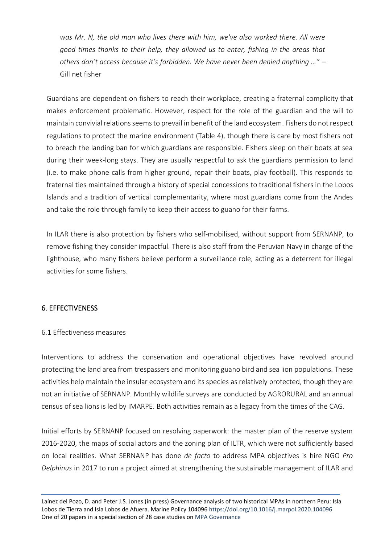*was Mr. N, the old man who lives there with him, we've also worked there. All were good times thanks to their help, they allowed us to enter, fishing in the areas that others don't access because it's forbidden. We have never been denied anything …" –* Gill net fisher

Guardians are dependent on fishers to reach their workplace, creating a fraternal complicity that makes enforcement problematic. However, respect for the role of the guardian and the will to maintain convivial relations seems to prevail in benefit of the land ecosystem. Fishers do not respect regulations to protect the marine environment (Table 4), though there is care by most fishers not to breach the landing ban for which guardians are responsible. Fishers sleep on their boats at sea during their week-long stays. They are usually respectful to ask the guardians permission to land (i.e. to make phone calls from higher ground, repair their boats, play football). This responds to fraternal ties maintained through a history of special concessions to traditional fishers in the Lobos Islands and a tradition of vertical complementarity, where most guardians come from the Andes and take the role through family to keep their access to guano for their farms.

In ILAR there is also protection by fishers who self-mobilised, without support from SERNANP, to remove fishing they consider impactful. There is also staff from the Peruvian Navy in charge of the lighthouse, who many fishers believe perform a surveillance role, acting as a deterrent for illegal activities for some fishers.

#### 6. EFFECTIVENESS

#### 6.1 Effectiveness measures

Interventions to address the conservation and operational objectives have revolved around protecting the land area from trespassers and monitoring guano bird and sea lion populations. These activities help maintain the insular ecosystem and its species as relatively protected, though they are not an initiative of SERNANP. Monthly wildlife surveys are conducted by AGRORURAL and an annual census of sea lions is led by IMARPE. Both activities remain as a legacy from the times of the CAG.

Initial efforts by SERNANP focused on resolving paperwork: the master plan of the reserve system 2016-2020, the maps of social actors and the zoning plan of ILTR, which were not sufficiently based on local realities. What SERNANP has done *de facto* to address MPA objectives is hire NGO *Pro Delphinus* in 2017 to run a project aimed at strengthening the sustainable management of ILAR and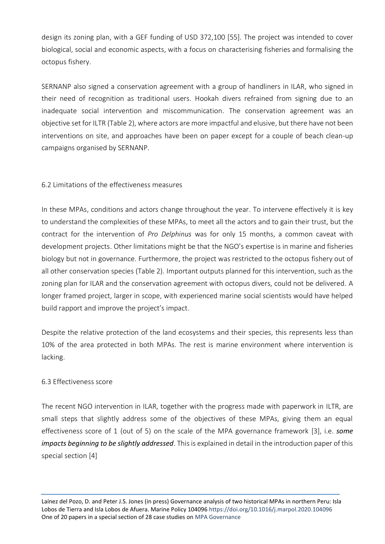design its zoning plan, with a GEF funding of USD 372,100 [55]. The project was intended to cover biological, social and economic aspects, with a focus on characterising fisheries and formalising the octopus fishery.

SERNANP also signed a conservation agreement with a group of handliners in ILAR, who signed in their need of recognition as traditional users. Hookah divers refrained from signing due to an inadequate social intervention and miscommunication. The conservation agreement was an objective set for ILTR (Table 2), where actors are more impactful and elusive, but there have not been interventions on site, and approaches have been on paper except for a couple of beach clean-up campaigns organised by SERNANP.

#### 6.2 Limitations of the effectiveness measures

In these MPAs, conditions and actors change throughout the year. To intervene effectively it is key to understand the complexities of these MPAs, to meet all the actors and to gain their trust, but the contract for the intervention of *Pro Delphinus* was for only 15 months, a common caveat with development projects. Other limitations might be that the NGO's expertise is in marine and fisheries biology but not in governance. Furthermore, the project was restricted to the octopus fishery out of all other conservation species (Table 2). Important outputs planned for this intervention, such as the zoning plan for ILAR and the conservation agreement with octopus divers, could not be delivered. A longer framed project, larger in scope, with experienced marine social scientists would have helped build rapport and improve the project's impact.

Despite the relative protection of the land ecosystems and their species, this represents less than 10% of the area protected in both MPAs. The rest is marine environment where intervention is lacking.

#### 6.3 Effectiveness score

The recent NGO intervention in ILAR, together with the progress made with paperwork in ILTR, are small steps that slightly address some of the objectives of these MPAs, giving them an equal effectiveness score of 1 (out of 5) on the scale of the MPA governance framework [3], i.e. *some impacts beginning to be slightly addressed*. This is explained in detail in the introduction paper of this special section [4]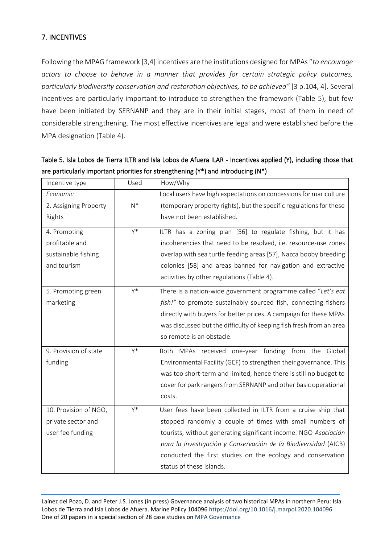## 7. INCENTIVES

Following the MPAG framework [3,4] incentives are the institutions designed for MPAs "*to encourage actors to choose to behave in a manner that provides for certain strategic policy outcomes, particularly biodiversity conservation and restoration objectives, to be achieved"* [3 p.104, 4]. Several incentives are particularly important to introduce to strengthen the framework (Table 5), but few have been initiated by SERNANP and they are in their initial stages, most of them in need of considerable strengthening. The most effective incentives are legal and were established before the MPA designation (Table 4).

| Incentive type        | Used  | How/Why                                                             |
|-----------------------|-------|---------------------------------------------------------------------|
| Economic              |       | Local users have high expectations on concessions for mariculture   |
| 2. Assigning Property | $N^*$ | (temporary property rights), but the specific regulations for these |
| Rights                |       | have not been established.                                          |
| 4. Promoting          | Y*    | ILTR has a zoning plan [56] to regulate fishing, but it has         |
| profitable and        |       | incoherencies that need to be resolved, i.e. resource-use zones     |
| sustainable fishing   |       | overlap with sea turtle feeding areas [57], Nazca booby breeding    |
| and tourism           |       | colonies [58] and areas banned for navigation and extractive        |
|                       |       | activities by other regulations (Table 4).                          |
| 5. Promoting green    | Y*    | There is a nation-wide government programme called "Let's eat       |
| marketing             |       | fish!" to promote sustainably sourced fish, connecting fishers      |
|                       |       | directly with buyers for better prices. A campaign for these MPAs   |
|                       |       | was discussed but the difficulty of keeping fish fresh from an area |
|                       |       | so remote is an obstacle.                                           |
| 9. Provision of state | Y*    | MPAs received one-year funding from the Global<br>Both              |
| funding               |       | Environmental Facility (GEF) to strengthen their governance. This   |
|                       |       | was too short-term and limited, hence there is still no budget to   |
|                       |       | cover for park rangers from SERNANP and other basic operational     |
|                       |       | costs.                                                              |
| 10. Provision of NGO, | Y*    | User fees have been collected in ILTR from a cruise ship that       |
| private sector and    |       | stopped randomly a couple of times with small numbers of            |
| user fee funding      |       | tourists, without generating significant income. NGO Asociación     |
|                       |       | para la Investigación y Conservación de la Biodiversidad (AICB)     |
|                       |       | conducted the first studies on the ecology and conservation         |
|                       |       | status of these islands.                                            |

Table 5. Isla Lobos de Tierra ILTR and Isla Lobos de Afuera ILAR - Incentives applied (Y), including those that are particularly important priorities for strengthening (Y\*) and introducing (N\*)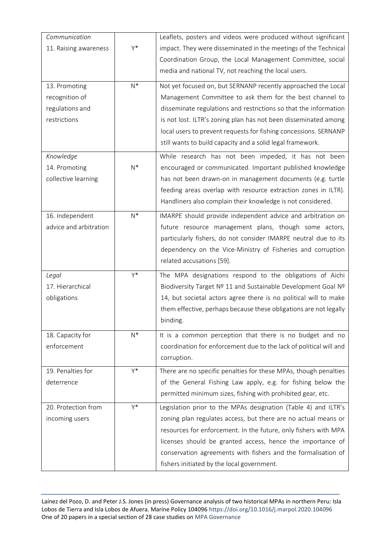| Communication          |       | Leaflets, posters and videos were produced without significant     |
|------------------------|-------|--------------------------------------------------------------------|
| 11. Raising awareness  | Y*    | impact. They were disseminated in the meetings of the Technical    |
|                        |       | Coordination Group, the Local Management Committee, social         |
|                        |       | media and national TV, not reaching the local users.               |
| 13. Promoting          | $N^*$ | Not yet focused on, but SERNANP recently approached the Local      |
| recognition of         |       | Management Committee to ask them for the best channel to           |
| regulations and        |       | disseminate regulations and restrictions so that the information   |
| restrictions           |       | is not lost. ILTR's zoning plan has not been disseminated among    |
|                        |       | local users to prevent requests for fishing concessions. SERNANP   |
|                        |       | still wants to build capacity and a solid legal framework.         |
| Knowledge              |       | While research has not been impeded, it has not been               |
| 14. Promoting          | $N^*$ | encouraged or communicated. Important published knowledge          |
| collective learning    |       | has not been drawn-on in management documents (e.g. turtle         |
|                        |       | feeding areas overlap with resource extraction zones in ILTR).     |
|                        |       | Handliners also complain their knowledge is not considered.        |
| 16. Independent        | $N^*$ | IMARPE should provide independent advice and arbitration on        |
| advice and arbitration |       | future resource management plans, though some actors,              |
|                        |       | particularly fishers, do not consider IMARPE neutral due to its    |
|                        |       | dependency on the Vice-Ministry of Fisheries and corruption        |
|                        |       | related accusations [59].                                          |
| Legal                  | Y*    | The MPA designations respond to the obligations of Aichi           |
| 17. Hierarchical       |       | Biodiversity Target Nº 11 and Sustainable Development Goal Nº      |
| obligations            |       | 14, but societal actors agree there is no political will to make   |
|                        |       | them effective, perhaps because these obligations are not legally  |
|                        |       | binding.                                                           |
| 18. Capacity for       | $N^*$ | It is a common perception that there is no budget and no           |
| enforcement            |       | coordination for enforcement due to the lack of political will and |
|                        |       | corruption.                                                        |
| 19. Penalties for      | Y*    | There are no specific penalties for these MPAs, though penalties   |
| deterrence             |       | of the General Fishing Law apply, e.g. for fishing below the       |
|                        |       | permitted minimum sizes, fishing with prohibited gear, etc.        |
| 20. Protection from    | Y*    | Legislation prior to the MPAs designation (Table 4) and ILTR's     |
| incoming users         |       | zoning plan regulates access, but there are no actual means or     |
|                        |       | resources for enforcement. In the future, only fishers with MPA    |
|                        |       | licenses should be granted access, hence the importance of         |
|                        |       | conservation agreements with fishers and the formalisation of      |
|                        |       | fishers initiated by the local government.                         |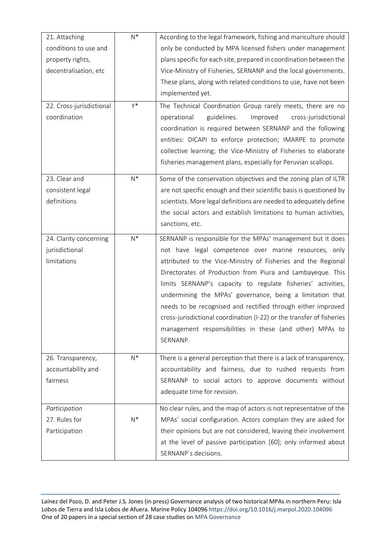| 21. Attaching<br>conditions to use and<br>property rights,<br>decentralisation, etc<br>22. Cross-jurisdictional<br>coordination | $N^*$<br>Y* | According to the legal framework, fishing and mariculture should<br>only be conducted by MPA licensed fishers under management<br>plans specific for each site, prepared in coordination between the<br>Vice-Ministry of Fisheries, SERNANP and the local governments.<br>These plans, along with related conditions to use, have not been<br>implemented yet.<br>The Technical Coordination Group rarely meets, there are no<br>guidelines.<br>operational<br>Improved<br>cross-jurisdictional<br>coordination is required between SERNANP and the following                                     |
|---------------------------------------------------------------------------------------------------------------------------------|-------------|---------------------------------------------------------------------------------------------------------------------------------------------------------------------------------------------------------------------------------------------------------------------------------------------------------------------------------------------------------------------------------------------------------------------------------------------------------------------------------------------------------------------------------------------------------------------------------------------------|
|                                                                                                                                 |             | entities: DICAPI to enforce protection; IMARPE to promote<br>collective learning; the Vice-Ministry of Fisheries to elaborate<br>fisheries management plans, especially for Peruvian scallops.                                                                                                                                                                                                                                                                                                                                                                                                    |
| 23. Clear and<br>consistent legal<br>definitions                                                                                | $N^*$       | Some of the conservation objectives and the zoning plan of ILTR<br>are not specific enough and their scientific basis is questioned by<br>scientists. More legal definitions are needed to adequately define<br>the social actors and establish limitations to human activities,<br>sanctions, etc.                                                                                                                                                                                                                                                                                               |
| 24. Clarity concerning<br>jurisdictional<br>limitations                                                                         | $N^*$       | SERNANP is responsible for the MPAs' management but it does<br>not have legal competence over marine resources, only<br>attributed to the Vice-Ministry of Fisheries and the Regional<br>Directorates of Production from Piura and Lambayeque. This<br>limits SERNANP's capacity to regulate fisheries' activities,<br>undermining the MPAs' governance, being a limitation that<br>needs to be recognised and rectified through either improved<br>cross-jurisdictional coordination (I-22) or the transfer of fisheries<br>management responsibilities in these (and other) MPAs to<br>SERNANP. |
| 26. Transparency,<br>accountability and<br>fairness                                                                             | $N^*$       | There is a general perception that there is a lack of transparency,<br>accountability and fairness, due to rushed requests from<br>SERNANP to social actors to approve documents without<br>adequate time for revision.                                                                                                                                                                                                                                                                                                                                                                           |
| Participation<br>27. Rules for<br>Participation                                                                                 | $N^*$       | No clear rules, and the map of actors is not representative of the<br>MPAs' social configuration. Actors complain they are asked for<br>their opinions but are not considered, leaving their involvement<br>at the level of passive participation [60]; only informed about<br>SERNANP's decisions.                                                                                                                                                                                                                                                                                               |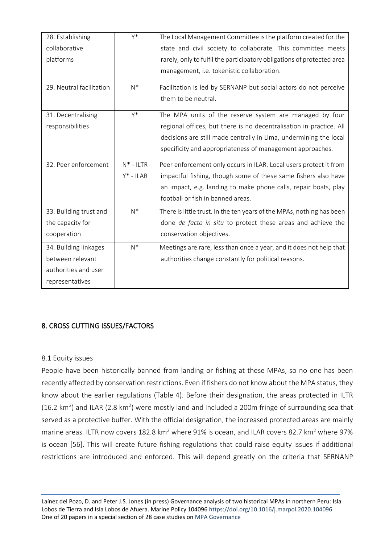| 28. Establishing         | Y*           | The Local Management Committee is the platform created for the         |
|--------------------------|--------------|------------------------------------------------------------------------|
| collaborative            |              | state and civil society to collaborate. This committee meets           |
| platforms                |              | rarely, only to fulfil the participatory obligations of protected area |
|                          |              | management, i.e. tokenistic collaboration.                             |
| 29. Neutral facilitation | $N^*$        | Facilitation is led by SERNANP but social actors do not perceive       |
|                          |              | them to be neutral.                                                    |
| 31. Decentralising       | Y*           | The MPA units of the reserve system are managed by four                |
| responsibilities         |              | regional offices, but there is no decentralisation in practice. All    |
|                          |              | decisions are still made centrally in Lima, undermining the local      |
|                          |              | specificity and appropriateness of management approaches.              |
| 32. Peer enforcement     | $N^*$ - ILTR | Peer enforcement only occurs in ILAR. Local users protect it from      |
|                          | $Y^*$ - ILAR | impactful fishing, though some of these same fishers also have         |
|                          |              | an impact, e.g. landing to make phone calls, repair boats, play        |
|                          |              | football or fish in banned areas.                                      |
| 33. Building trust and   | $N^*$        | There is little trust. In the ten years of the MPAs, nothing has been  |
| the capacity for         |              | done de facto in situ to protect these areas and achieve the           |
| cooperation              |              | conservation objectives.                                               |
| 34. Building linkages    | $N^*$        | Meetings are rare, less than once a year, and it does not help that    |
| between relevant         |              | authorities change constantly for political reasons.                   |
| authorities and user     |              |                                                                        |
| representatives          |              |                                                                        |

## 8. CROSS CUTTING ISSUES/FACTORS

#### 8.1 Equity issues

People have been historically banned from landing or fishing at these MPAs, so no one has been recently affected by conservation restrictions. Even if fishers do not know about the MPA status, they know about the earlier regulations (Table 4). Before their designation, the areas protected in ILTR (16.2 km<sup>2</sup>) and ILAR (2.8 km<sup>2</sup>) were mostly land and included a 200m fringe of surrounding sea that served as a protective buffer. With the official designation, the increased protected areas are mainly marine areas. ILTR now covers 182.8 km<sup>2</sup> where 91% is ocean, and ILAR covers 82.7 km<sup>2</sup> where 97% is ocean [56]. This will create future fishing regulations that could raise equity issues if additional restrictions are introduced and enforced. This will depend greatly on the criteria that SERNANP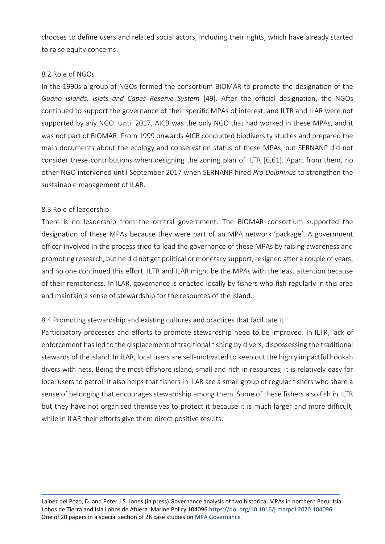chooses to define users and related social actors, including their rights, which have already started to raise equity concerns.

### 8.2 Role of NGOs

In the 1990s a group of NGOs formed the consortium BIOMAR to promote the designation of the *Guano Islands, Islets and Capes Reserve System* [49]. After the official designation, the NGOs continued to support the governance of their specific MPAs of interest, and ILTR and ILAR were not supported by any NGO. Until 2017, AICB was the only NGO that had worked in these MPAs, and it was not part of BIOMAR. From 1999 onwards AICB conducted biodiversity studies and prepared the main documents about the ecology and conservation status of these MPAs, but SERNANP did not consider these contributions when designing the zoning plan of ILTR [6,61]. Apart from them, no other NGO intervened until September 2017 when SERNANP hired *Pro Delphinus* to strengthen the sustainable management of ILAR.

#### 8.3 Role of leadership

There is no leadership from the central government. The BIOMAR consortium supported the designation of these MPAs because they were part of an MPA network 'package'. A government officer involved in the process tried to lead the governance of these MPAs by raising awareness and promoting research, but he did not get political or monetary support, resigned after a couple of years, and no one continued this effort. ILTR and ILAR might be the MPAs with the least attention because of their remoteness. In ILAR, governance is enacted locally by fishers who fish regularly in this area and maintain a sense of stewardship for the resources of the island.

#### 8.4 Promoting stewardship and existing cultures and practices that facilitate it

Participatory processes and efforts to promote stewardship need to be improved. In ILTR, lack of enforcement has led to the displacement of traditional fishing by divers, dispossessing the traditional stewards of the island. In ILAR, local users are self-motivated to keep out the highly impactful hookah divers with nets. Being the most offshore island, small and rich in resources, it is relatively easy for local users to patrol. It also helps that fishers in ILAR are a small group of regular fishers who share a sense of belonging that encourages stewardship among them. Some of these fishers also fish in ILTR but they have not organised themselves to protect it because it is much larger and more difficult, while in ILAR their efforts give them direct positive results.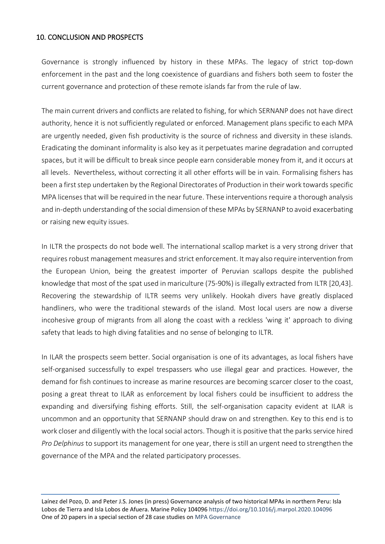#### 10. CONCLUSION AND PROSPECTS

Governance is strongly influenced by history in these MPAs. The legacy of strict top-down enforcement in the past and the long coexistence of guardians and fishers both seem to foster the current governance and protection of these remote islands far from the rule of law.

The main current drivers and conflicts are related to fishing, for which SERNANP does not have direct authority, hence it is not sufficiently regulated or enforced. Management plans specific to each MPA are urgently needed, given fish productivity is the source of richness and diversity in these islands. Eradicating the dominant informality is also key as it perpetuates marine degradation and corrupted spaces, but it will be difficult to break since people earn considerable money from it, and it occurs at all levels. Nevertheless, without correcting it all other efforts will be in vain. Formalising fishers has been a first step undertaken by the Regional Directorates of Production in their work towards specific MPA licenses that will be required in the near future. These interventions require a thorough analysis and in-depth understanding of the social dimension of these MPAs by SERNANP to avoid exacerbating or raising new equity issues.

In ILTR the prospects do not bode well. The international scallop market is a very strong driver that requires robust management measures and strict enforcement. It may also require intervention from the European Union, being the greatest importer of Peruvian scallops despite the published knowledge that most of the spat used in mariculture (75-90%) is illegally extracted from ILTR [20,43]. Recovering the stewardship of ILTR seems very unlikely. Hookah divers have greatly displaced handliners, who were the traditional stewards of the island. Most local users are now a diverse incohesive group of migrants from all along the coast with a reckless 'wing it' approach to diving safety that leads to high diving fatalities and no sense of belonging to ILTR.

In ILAR the prospects seem better. Social organisation is one of its advantages, as local fishers have self-organised successfully to expel trespassers who use illegal gear and practices. However, the demand for fish continues to increase as marine resources are becoming scarcer closer to the coast, posing a great threat to ILAR as enforcement by local fishers could be insufficient to address the expanding and diversifying fishing efforts. Still, the self-organisation capacity evident at ILAR is uncommon and an opportunity that SERNANP should draw on and strengthen. Key to this end is to work closer and diligently with the local social actors. Though it is positive that the parks service hired *Pro Delphinus* to support its management for one year, there is still an urgent need to strengthen the governance of the MPA and the related participatory processes.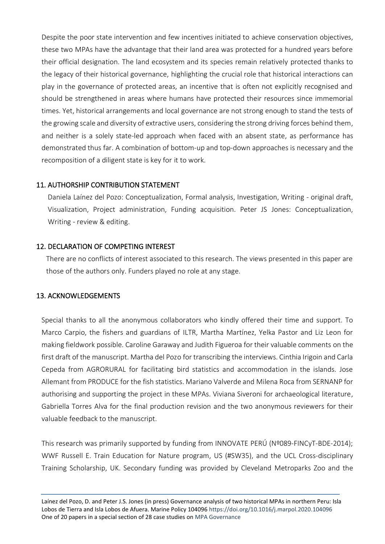Despite the poor state intervention and few incentives initiated to achieve conservation objectives, these two MPAs have the advantage that their land area was protected for a hundred years before their official designation. The land ecosystem and its species remain relatively protected thanks to the legacy of their historical governance, highlighting the crucial role that historical interactions can play in the governance of protected areas, an incentive that is often not explicitly recognised and should be strengthened in areas where humans have protected their resources since immemorial times. Yet, historical arrangements and local governance are not strong enough to stand the tests of the growing scale and diversity of extractive users, considering the strong driving forces behind them, and neither is a solely state-led approach when faced with an absent state, as performance has demonstrated thus far. A combination of bottom-up and top-down approaches is necessary and the recomposition of a diligent state is key for it to work.

#### 11. AUTHORSHIP CONTRIBUTION STATEMENT

Daniela Laínez del Pozo: Conceptualization, Formal analysis, Investigation, Writing - original draft, Visualization, Project administration, Funding acquisition. Peter JS Jones: Conceptualization, Writing - review & editing.

### 12. DECLARATION OF COMPETING INTEREST

There are no conflicts of interest associated to this research. The views presented in this paper are those of the authors only. Funders played no role at any stage.

#### 13. ACKNOWLEDGEMENTS

Special thanks to all the anonymous collaborators who kindly offered their time and support. To Marco Carpio, the fishers and guardians of ILTR, Martha Martínez, Yelka Pastor and Liz Leon for making fieldwork possible. Caroline Garaway and Judith Figueroa for their valuable comments on the first draft of the manuscript. Martha del Pozo for transcribing the interviews. Cinthia Irigoin and Carla Cepeda from AGRORURAL for facilitating bird statistics and accommodation in the islands. Jose Allemant from PRODUCE for the fish statistics. Mariano Valverde and Milena Roca from SERNANP for authorising and supporting the project in these MPAs. Viviana Siveroni for archaeological literature, Gabriella Torres Alva for the final production revision and the two anonymous reviewers for their valuable feedback to the manuscript.

This research was primarily supported by funding from INNOVATE PERÚ (Nº089-FINCyT-BDE-2014); WWF Russell E. Train Education for Nature program, US (#SW35), and the UCL Cross-disciplinary Training Scholarship, UK. Secondary funding was provided by Cleveland Metroparks Zoo and the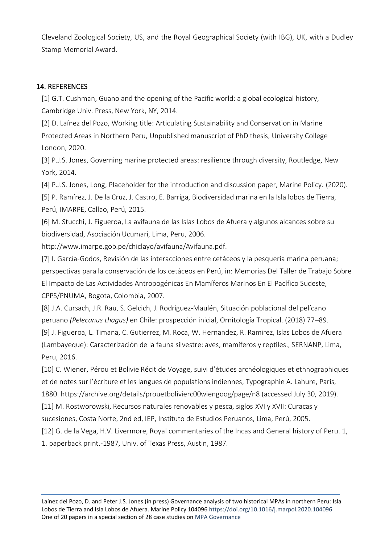Cleveland Zoological Society, US, and the Royal Geographical Society (with IBG), UK, with a Dudley Stamp Memorial Award.

### 14. REFERENCES

[1] G.T. Cushman, Guano and the opening of the Pacific world: a global ecological history, Cambridge Univ. Press, New York, NY, 2014.

[2] D. Laínez del Pozo, Working title: Articulating Sustainability and Conservation in Marine Protected Areas in Northern Peru, Unpublished manuscript of PhD thesis, University College London, 2020.

[3] P.J.S. Jones, Governing marine protected areas: resilience through diversity, Routledge, New York, 2014.

[4] P.J.S. Jones, Long, Placeholder for the introduction and discussion paper, Marine Policy. (2020).

[5] P. Ramírez, J. De la Cruz, J. Castro, E. Barriga, Biodiversidad marina en la Isla lobos de Tierra, Perú, IMARPE, Callao, Perú, 2015.

[6] M. Stucchi, J. Figueroa, La avifauna de las Islas Lobos de Afuera y algunos alcances sobre su biodiversidad, Asociación Ucumari, Lima, Peru, 2006.

http://www.imarpe.gob.pe/chiclayo/avifauna/Avifauna.pdf.

[7] I. García-Godos, Revisión de las interacciones entre cetáceos y la pesquería marina peruana; perspectivas para la conservación de los cetáceos en Perú, in: Memorias Del Taller de Trabajo Sobre El Impacto de Las Actividades Antropogénicas En Mamíferos Marinos En El Pacífico Sudeste, CPPS/PNUMA, Bogota, Colombia, 2007.

[8] J.A. Cursach, J.R. Rau, S. Gelcich, J. Rodríguez‐Maulén, Situación poblacional del pelícano peruano *(Pelecanus thagus)* en Chile: prospección inicial, Ornitología Tropical. (2018) 77–89.

[9] J. Figueroa, L. Timana, C. Gutierrez, M. Roca, W. Hernandez, R. Ramirez, Islas Lobos de Afuera (Lambayeque): Caracterización de la fauna silvestre: aves, mamíferos y reptiles., SERNANP, Lima, Peru, 2016.

[10] C. Wiener, Pérou et Bolivie Récit de Voyage, suivi d'études archéologiques et ethnographiques et de notes sur l'écriture et les langues de populations indiennes, Typographie A. Lahure, Paris, 1880. https://archive.org/details/prouetbolivierc00wiengoog/page/n8 (accessed July 30, 2019).

[11] M. Rostworowski, Recursos naturales renovables y pesca, siglos XVI y XVII: Curacas y

sucesiones, Costa Norte, 2nd ed, IEP, Instituto de Estudios Peruanos, Lima, Perú, 2005.

[12] G. de la Vega, H.V. Livermore, Royal commentaries of the Incas and General history of Peru. 1,

1. paperback print.-1987, Univ. of Texas Press, Austin, 1987.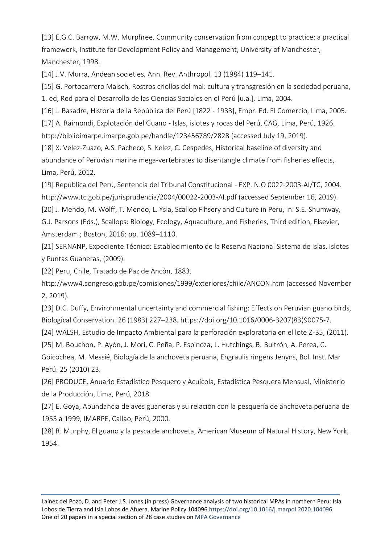[13] E.G.C. Barrow, M.W. Murphree, Community conservation from concept to practice: a practical framework, Institute for Development Policy and Management, University of Manchester, Manchester, 1998.

[14] J.V. Murra, Andean societies, Ann. Rev. Anthropol. 13 (1984) 119–141.

[15] G. Portocarrero Maisch, Rostros criollos del mal: cultura y transgresión en la sociedad peruana,

1. ed, Red para el Desarrollo de las Ciencias Sociales en el Perú [u.a.], Lima, 2004.

[16] J. Basadre, Historia de la República del Perú [1822 - 1933], Empr. Ed. El Comercio, Lima, 2005.

[17] A. Raimondi, Explotación del Guano - Islas, islotes y rocas del Perú, CAG, Lima, Perú, 1926.

http://biblioimarpe.imarpe.gob.pe/handle/123456789/2828 (accessed July 19, 2019).

[18] X. Velez-Zuazo, A.S. Pacheco, S. Kelez, C. Cespedes, Historical baseline of diversity and abundance of Peruvian marine mega-vertebrates to disentangle climate from fisheries effects, Lima, Perú, 2012.

[19] República del Perú, Sentencia del Tribunal Constitucional - EXP. N.O 0022-2003-AI/TC, 2004. http://www.tc.gob.pe/jurisprudencia/2004/00022-2003-AI.pdf (accessed September 16, 2019). [20] J. Mendo, M. Wolff, T. Mendo, L. Ysla, Scallop Fihsery and Culture in Peru, in: S.E. Shumway, G.J. Parsons (Eds.), Scallops: Biology, Ecology, Aquaculture, and Fisheries, Third edition, Elsevier, Amsterdam ; Boston, 2016: pp. 1089–1110.

[21] SERNANP, Expediente Técnico: Establecimiento de la Reserva Nacional Sistema de Islas, Islotes y Puntas Guaneras, (2009).

[22] Peru, Chile, Tratado de Paz de Ancón, 1883.

http://www4.congreso.gob.pe/comisiones/1999/exteriores/chile/ANCON.htm (accessed November 2, 2019).

[23] D.C. Duffy, Environmental uncertainty and commercial fishing: Effects on Peruvian guano birds, Biological Conservation. 26 (1983) 227–238. https://doi.org/10.1016/0006-3207(83)90075-7.

[24] WALSH, Estudio de Impacto Ambiental para la perforación exploratoria en el lote Z-35, (2011).

[25] M. Bouchon, P. Ayón, J. Mori, C. Peña, P. Espinoza, L. Hutchings, B. Buitrón, A. Perea, C.

Goicochea, M. Messié, Biología de la anchoveta peruana, Engraulis ringens Jenyns, Bol. Inst. Mar Perú. 25 (2010) 23.

[26] PRODUCE, Anuario Estadístico Pesquero y Acuícola, Estadística Pesquera Mensual, Ministerio de la Producción, Lima, Perú, 2018.

[27] E. Goya, Abundancia de aves guaneras y su relación con la pesquería de anchoveta peruana de 1953 a 1999, IMARPE, Callao, Perú, 2000.

[28] R. Murphy, El guano y la pesca de anchoveta, American Museum of Natural History, New York, 1954.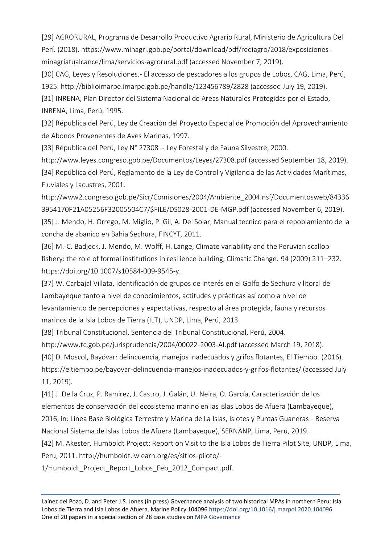[29] AGRORURAL, Programa de Desarrollo Productivo Agrario Rural, Ministerio de Agricultura Del Perí. (2018). https://www.minagri.gob.pe/portal/download/pdf/rediagro/2018/exposicionesminagriatualcance/lima/servicios-agrorural.pdf (accessed November 7, 2019).

[30] CAG, Leyes y Resoluciones.- El accesso de pescadores a los grupos de Lobos, CAG, Lima, Perú, 1925. http://biblioimarpe.imarpe.gob.pe/handle/123456789/2828 (accessed July 19, 2019).

[31] INRENA, Plan Director del Sistema Nacional de Areas Naturales Protegidas por el Estado, INRENA, Lima, Perú, 1995.

[32] Républica del Perú, Ley de Creación del Proyecto Especial de Promoción del Aprovechamiento de Abonos Provenentes de Aves Marinas, 1997.

[33] Républica del Perú, Ley N° 27308 .- Ley Forestal y de Fauna Silvestre, 2000.

http://www.leyes.congreso.gob.pe/Documentos/Leyes/27308.pdf (accessed September 18, 2019). [34] República del Perú, Reglamento de la Ley de Control y Vigilancia de las Actividades Marítimas, Fluviales y Lacustres, 2001.

http://www2.congreso.gob.pe/Sicr/Comisiones/2004/Ambiente\_2004.nsf/Documentosweb/84336 3954170F21A05256F32005504C7/\$FILE/DS028-2001-DE-MGP.pdf (accessed November 6, 2019). [35] J. Mendo, H. Orrego, M. Miglio, P. Gil, A. Del Solar, Manual tecnico para el repoblamiento de la concha de abanico en Bahia Sechura, FINCYT, 2011.

[36] M.-C. Badjeck, J. Mendo, M. Wolff, H. Lange, Climate variability and the Peruvian scallop fishery: the role of formal institutions in resilience building, Climatic Change. 94 (2009) 211–232. https://doi.org/10.1007/s10584-009-9545-y.

[37] W. Carbajal Villata, Identificación de grupos de interés en el Golfo de Sechura y litoral de Lambayeque tanto a nivel de conocimientos, actitudes y prácticas así como a nivel de levantamiento de percepciones y expectativas, respecto al área protegida, fauna y recursos marinos de la Isla Lobos de Tierra (ILT), UNDP, Lima, Perú, 2013.

[38] Tribunal Constitucional, Sentencia del Tribunal Constitucional, Perú, 2004.

http://www.tc.gob.pe/jurisprudencia/2004/00022-2003-AI.pdf (accessed March 19, 2018).

[40] D. Moscol, Bayóvar: delincuencia, manejos inadecuados y grifos flotantes, El Tiempo. (2016). https://eltiempo.pe/bayovar-delincuencia-manejos-inadecuados-y-grifos-flotantes/ (accessed July 11, 2019).

[41] J. De la Cruz, P. Ramirez, J. Castro, J. Galán, U. Neira, O. García, Caracterización de los elementos de conservación del ecosistema marino en las islas Lobos de Afuera (Lambayeque),

2016, in: Línea Base Biológica Terrestre y Marina de La Islas, Islotes y Puntas Guaneras - Reserva Nacional Sistema de Islas Lobos de Afuera (Lambayeque), SERNANP, Lima, Perú, 2019.

[42] M. Akester, Humboldt Project: Report on Visit to the Isla Lobos de Tierra Pilot Site, UNDP, Lima, Peru, 2011. http://humboldt.iwlearn.org/es/sitios-piloto/-

1/Humboldt Project Report Lobos Feb 2012 Compact.pdf.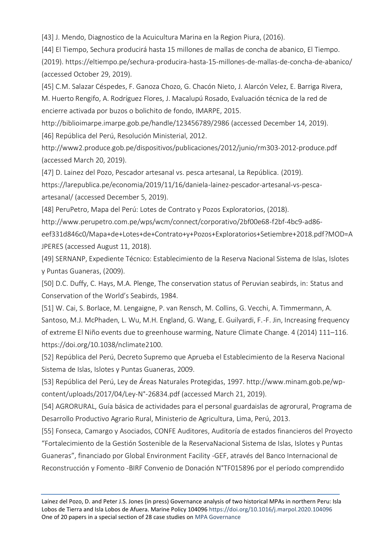[43] J. Mendo, Diagnostico de la Acuicultura Marina en la Region Piura, (2016).

[44] El Tiempo, Sechura producirá hasta 15 millones de mallas de concha de abanico, El Tiempo. (2019). https://eltiempo.pe/sechura-producira-hasta-15-millones-de-mallas-de-concha-de-abanico/ (accessed October 29, 2019).

[45] C.M. Salazar Céspedes, F. Ganoza Chozo, G. Chacón Nieto, J. Alarcón Velez, E. Barriga Rivera,

M. Huerto Rengifo, A. Rodríguez Flores, J. Macalupú Rosado, Evaluación técnica de la red de encierre activada por buzos o bolichito de fondo, IMARPE, 2015.

http://biblioimarpe.imarpe.gob.pe/handle/123456789/2986 (accessed December 14, 2019). [46] República del Perú, Resolución Ministerial, 2012.

http://www2.produce.gob.pe/dispositivos/publicaciones/2012/junio/rm303-2012-produce.pdf (accessed March 20, 2019).

[47] D. Lainez del Pozo, Pescador artesanal vs. pesca artesanal, La República. (2019).

https://larepublica.pe/economia/2019/11/16/daniela-lainez-pescador-artesanal-vs-pescaartesanal/ (accessed December 5, 2019).

[48] PeruPetro, Mapa del Perú: Lotes de Contrato y Pozos Exploratorios, (2018).

http://www.perupetro.com.pe/wps/wcm/connect/corporativo/2bf00e68-f2bf-4bc9-ad86-

eef331d846c0/Mapa+de+Lotes+de+Contrato+y+Pozos+Exploratorios+Setiembre+2018.pdf?MOD=A JPERES (accessed August 11, 2018).

[49] SERNANP, Expediente Técnico: Establecimiento de la Reserva Nacional Sistema de Islas, Islotes y Puntas Guaneras, (2009).

[50] D.C. Duffy, C. Hays, M.A. Plenge, The conservation status of Peruvian seabirds, in: Status and Conservation of the World's Seabirds, 1984.

[51] W. Cai, S. Borlace, M. Lengaigne, P. van Rensch, M. Collins, G. Vecchi, A. Timmermann, A. Santoso, M.J. McPhaden, L. Wu, M.H. England, G. Wang, E. Guilyardi, F.-F. Jin, Increasing frequency of extreme El Niño events due to greenhouse warming, Nature Climate Change. 4 (2014) 111–116. https://doi.org/10.1038/nclimate2100.

[52] República del Perú, Decreto Supremo que Aprueba el Establecimiento de la Reserva Nacional Sistema de Islas, Islotes y Puntas Guaneras, 2009.

[53] República del Perú, Ley de Áreas Naturales Protegidas, 1997. http://www.minam.gob.pe/wpcontent/uploads/2017/04/Ley-N°-26834.pdf (accessed March 21, 2019).

[54] AGRORURAL, Guía básica de actividades para el personal guardaislas de agrorural, Programa de Desarrollo Productivo Agrario Rural, Ministerio de Agricultura, Lima, Perú, 2013.

[55] Fonseca, Camargo y Asociados, CONFE Auditores, Auditoría de estados financieros del Proyecto "Fortalecimiento de la Gestión Sostenible de la ReservaNacional Sistema de Islas, Islotes y Puntas Guaneras", financiado por Global Environment Facility -GEF, através del Banco Internacional de Reconstrucción y Fomento -BIRF Convenio de Donación N°TF015896 por el período comprendido